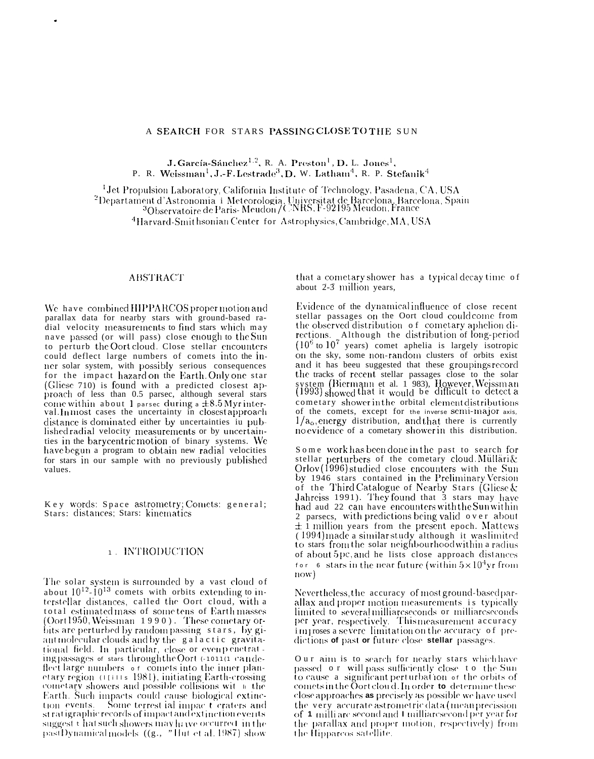#### A SEARCH FOR STARS PASSINGCLOSE TO THE SUN

J. García-Sánchez<sup>1,2</sup>, R. A. Preston<sup>1</sup>, D. L. Jones<sup>1</sup>, P. R. Weissman<sup>1</sup>, J.-F. Lestrade<sup>3</sup>, D. W. Latham<sup>4</sup>, R. P. Stefanik<sup>4</sup>

<sup>1</sup> Jet Propulsion Laboratory, California Institute of Technology, Pasadena, CA, USA <sup>2</sup>Departament d'Astronomia i Meteorologia, Universitat de Barcelona, Barcelona, Spain<br><sup>3</sup>Observatoire de Paris-Meudon / CNRS, F-92195 Meudon, France <sup>4</sup>Harvard-Smit hsonian Center for Astrophysics, Cambridge, MA, USA

#### **ABSTRACT**

We have combined HIPPARCOS proper motion and parallax data for nearby stars with ground-based radial velocity measurements to find stars which may nave passed (or will pass) close enough to the Sun to perturb the Oort cloud. Close stellar encounters could deflect large numbers of comets into the inner solar system, with possibly serious consequences for the impact hazard on the Earth. Only one star (Gliese 710) is found with a predicted closest approach of less than 0.5 parsec, although several stars come within about 1 parsec during a  $\pm 8.5$  Myr inter-<br>val. In most cases the uncertainty in closest approach distance is dominated either by uncertainties in published radial velocity measurements or by uncertainties in the barycentric motion of binary systems. We have begun a program to obtain new radial velocities for stars in our sample with no previously published values.

Key words: Space astrometry; Comets: general; Stars: distances; Stars: kinematics

## 1. INTRODUCTION

The solar system is surrounded by a vast cloud of about  $10^{12}$ - $10^{13}$  comets with orbits extending to interstellar distances, called the Oort cloud, with a total estimated mass of some tens of Earth masses (Oort1950, Weissman 1990). These cometary orbits are perturbed by random passing stars, by giant molecular clouds and by the galactic gravitational field. In particular, close or evenpenetrat. ing passages of stars through the Oort (-1011(1 candefleet large numbers of comets into the inner planetary region (1111s 1981), initiating Earth-crossing cometary showers and possible collisions wit I the Earth. Such impacts could cause biological extinction events. Some terrest ial impact craters and st ratigraphic records of impact and extinction events suggest that such showers may have occurred in the pastDynamical models ((g., "Hut et al. 1987) show

that a cometary shower has a typical decay time of about 2-3 million years,

Evidence of the dynamical influence of close recent stellar passages on the Oort cloud could come from the observed distribution of cometary aphelion directions. Although the distribution of long-period  $(10^6 \text{ to } 10^7 \text{ years})$  comet aphelia is largely isotropic on the sky, some non-random clusters of orbits exist and it has beeu suggested that these groupings record the tracks of recent stellar passages close to the solar system (Biermann et al. 1 983), However, Weissman (1993) showed that it would be difficult to detect a cometary shower in the orbital element distributions of the comets, except for the inverse semi-major axis,  $1/a<sub>o</sub>$ , energy distribution, and that there is currently no evidence of a cometary shower in this distribution.

Some work has been done in the past to search for stellar perturbers of the cometary cloud. Mülläri & Orlov (1996) studied close encounters with the Sun by 1946 stars contained in the Preliminary Version of the Third Catalogue of Nearby Stars (Gliese & Jahreiss 1991). They found that 3 stars may have had aud 22 can have encounters with the Sun within 2 parsecs, with predictions being valid over about <sup>1</sup>/<sub>1</sub> million years from the present epoch. Mattews<br>(1994) made a similar study although it was limited<br>to stars from the solar neighbourhood within a radius of about 5pc, and he lists close approach distances for 6 stars in the near future (within  $5 \times 10^4$ yr from  $now)$ 

Nevertheless, the accuracy of most ground-based parallax and proper motion measurements is typically limited to several milliarcseconds or milliarcseconds<br>per year, respectively. This measurement accuracy improses a severe-limitation on the accuracy of predictions of past or future close stellar passages.

Our aim is to search for nearby stars which have passed o $r$  will pass sufficiently close  $\pm$  o $\pm$  the Sun to cause  $\,$  a significant perturbation  $\,$  of the orbits of comets in the Oort cloud. In order to determine these close approaches as precisely as possible we have used the very accurate astrometric data (mean precission of 1 milli are second and 1 milliarcsecond per year for the parallax and proper motion, respectively) from the Hipparcos satellite.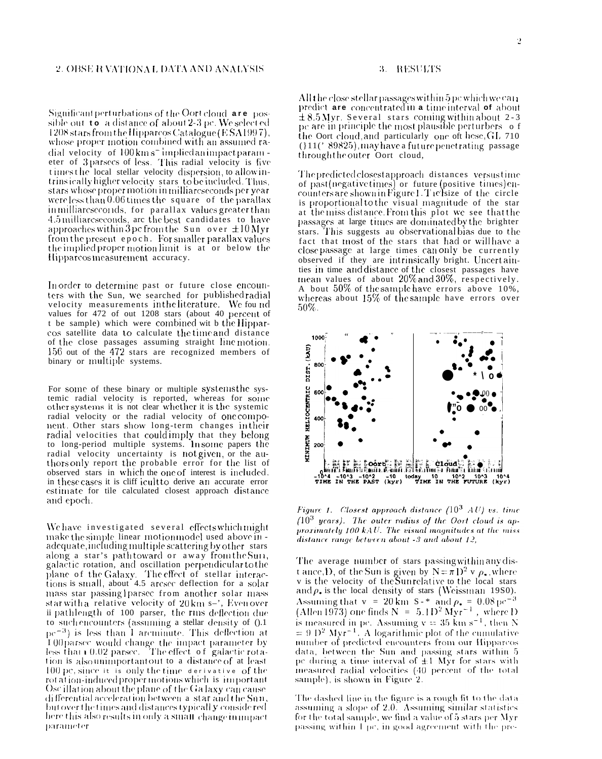Significant perturbations of the Oort cloud are possible out to a distance of about 2-3 pc. We selected 1208 stars from the Hipparcos Catalogue (ESA1997), whose proper motion combined with an assumed radial velocity of 100 km s<sup>-1</sup>mplied animpact parameter of 3 parsecs of less. This radial velocity is five times the local stellar velocity dispersion, to allow intrinsically higher velocity stars to be included. Thus, stars whose proper motion in milliarcseconds per year were less than 0.06 times the square of the parallax inmilliarcseconds, for parallax values greater than 4.5 milliareseconds, are the best candidates to have approaches within 3 pc from the Sun over  $\pm 10$  Myr from the present epoch. For smaller parallax values the implied proper motion limit is at or below the Hipparcos measurement accuracy.

In order to determine past or future close encounters with the Sun, we searched for published radial velocity measurements in the literature. We found values for 472 of out 1208 stars (about 40 percent of t be sample) which were combined wit b the Hipparcos satellite data to calculate the time and distance of the close passages assuming straight linemotion. 156 out of the 472 stars are recognized members of binary or multiple systems.

For some of these binary or multiple systems the systemic radial velocity is reported, whereas for some other systems it is not clear whether it is the systemic radial velocity or the radial velocity of one component. Other stars show long-term changes in their radial velocities that could imply that they belong to long-period multiple systems. In some papers the radial velocity uncertainty is not given, or the authors only report the probable error for the list of observed stars in which the one of interest is included. in these cases it is cliff icult to derive an accurate error estimate for tile calculated closest approach distance and epoch.

We have investigated several effects which might make the simple linear motion model used above in adequate, including multiple scattering by other stars along a star's pathtoward or away from the Sun, galactic rotation, and oscillation perpendicular to the plane of the Galaxy. The effect of stellar interactions is small, about 4.5 arcsec deflection for a solar mass star passing lparsec from another solar mass star with a relative velocity of 20 km s-', Even over ii pathlength of 100 parser, the rms deflection due to such encounters (assuming a stellar density of 0.1  $pe^{-3}$ ) is less than 1 arcminute. This deflection at  $100$  parsec would change the impact parameter by less than  $10.02$  parsec. The effect of galactic rotation is also unimportant out to a distance of at least 100 pc, since it is only the time derivative of the rot at ion-induced proper motions which is important Osc illation about the plane of the Ga laxy can cause differential acceleration between a star and the Sun, but over the times and distances typicall **y** conside red here this also results in only a small-change in impact parameter

# 3. RESULTS

All the close stellar passages within  $5\,\mathrm{pc}$  which we carr predict are concentrated in a time interval of about  $\pm 8.5$  Myr. Several stars coming within about 2-3 pc are in principle the most plausible perturbers of the Oort cloud and particularly one of these, GL 710 (11('89825), may have a future penetrating passage through the outer Oort cloud,

The predicted closest approach distances versus time of past(negative times) or future (positive times) encounters are shown in Figure 1. The size of the circle is proportional to the visual magnitude of the star at the miss distance. From this plot we see that the passages at large times are dominated by the brighter stars. This suggests au observational bias due to the fact that most of the stars that had or willhave a close passage at large times can only be currently observed if they are intrinsically bright. Uncertainties in time and distance of the closest passages have mean values of about 20% and 30%, respectively. A bout 50% of the sample have errors above 10%, whereas about  $15\%$  of the sample have errors over  $50\%$ .



Figure 1. Closest approach distance ( $10^3$  AU) vs. time  $(10^3$  years). The outer radius of the Oort cloud is approximately 100 kAU. The visual magnitudes at the miss distance range between about -3 and about 12,

The average number of stars passing within any dist ance, D, of the Sun is given by  $N = \pi D^2 v \rho$ , where<br>v is the velocity of the Sunrelative to the local stars and  $\rho_{\star}$  is the local density of stars (Weissman 1980). Assuming that v = 20 km S-\* and  $\rho_* = 0.08 \,\mathrm{pc}^{-3}$ <br>(Allen 1973) one finds N = 5.1 D<sup>2</sup> Myr<sup>-1</sup>, where D is measured in pc. Assuming  $v = 35$  km s<sup>-1</sup>, then N<br>= 9 D<sup>2</sup> Myr<sup>-1</sup>. A logarithmic plot of the cumulative number of predicted encounters from our Hipparcos data, between the Sun and passing stars within 5 pc during a time interval of  $\pm 1$  Myr for stars with measured radial velocities (40 percent of the total sample), is shown in Figure 2.

The dashed line in the figure is a rough fit to the data assuming a slope of 2.0. Assuming similar statistics for the total sample, we find a value of 5 stars per Myr passing within 1 pc, in good agreement with the pre-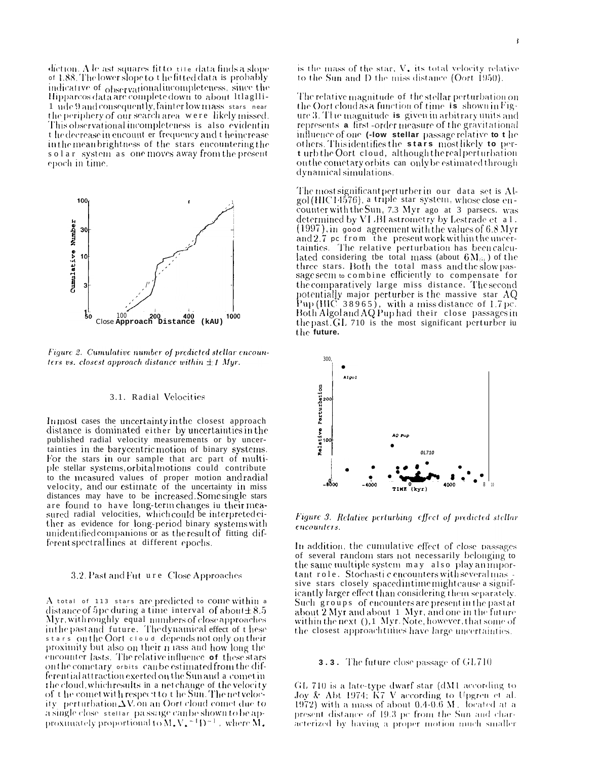$\det$  diction. A le ast squares fit to  $\pm i$  e data finds a slope of 1.88. The lower slope to t he fitted data is probably indicative of <sub>observational incompleteness</sub>, since the Hipparcos data are complete down to about Itlaglli-1 ude 9 and consequently, fainter low mass stars near the periphery of our search area were likely missed. This observational incompleteness is also evident in t he decrease in encount er frequency and t he increase in the mean brightness of the stars encountering the solar system as one moves away from the present epoch in time.



Figure 2. Cumulative number of predicted stellar encounters vs. closest approach distance within  $\pm 1$  Myr.

#### 3.1. Radial Velocities

In most cases the uncertainty in the closest approach distance is dominated either by uncertainties in the published radial velocity measurements or by uncertainties in the barycentric motion of binary systems. For the stars in our sample that arc part of multiple stellar systems, orbital motions could contribute to the measured values of proper motion and radial velocity, and our estimate of the uncertainty in miss distances may have to be increased. Some single stars are found to have long-term changes in their measured radial velocities, which could be interpreted either as evidence for long-period binary systems with unidentified companions or as the result of fitting different spectral lines at different epochs.

#### 3.2. Past and Fut ure Close Approaches

A total of 113 stars are predicted to come within a distance of 5 pc during a time-interval of about  $\pm 8.5$ Myr, with roughly equal numbers of close approaches in the past and future. The dynamical effect of these stars on the Oort cloud depends not only on their proximity but also on their n lass and how long the encounter lasts. The relative influence of these stars on the cometary orbits can be estimated from the differential attraction exerted on the Sun and a comet in the cloud, which results in a net change of the velocity of the comet with respect to the Sun. The net velocity perturbation  $\Delta V$ , on an Oort cloud comet due to a single close stellar passage can be shown to be approximately proportional to  $M_{\star}V_{\star}^{-1}D^{-1}$  , where  $M_{\star}$ 

is the mass of the star, V, its total velocity relative to the Sun and D the miss distance (Oort 1950).

The relative magnitude of the stellar perturbation on the Oort cloud as a function of time **is** shown in Figure 3. The magnitude is given in arbitrary units and represents a first-order measure of the gravitational influence of one (-low stellar passage relative to t he others. This identifies the stars most likely to pert urb the Oort cloud, although the real perturbation on the cometary orbits can only be estimated through dynamical simulations.

The most significant perturber in our data set is Algol (HIC14576), a triple star system, whose close encounter with the Sun, 7.3 Myr ago at 3 parsecs. was determined by VLBI astrometry by Lestrade et al.  $(1997)$ , in good agreement with the values of 6.8 Myr and 2.7 pc from the present work within the uncertainties. The relative perturbation has been calculated considering the total mass (about  $6M_{\odot}$ ) of the three stars. Both the total mass and the slow passage seem to combine efficiently to compensate for the comparatively large miss distance. The second potentially major perturber is the massive star AQ Pup (HIC 38965), with a miss distance of 1.7 pc. Both Algol and AQ Pup had their close passages in the past. GL 710 is the most significant perturber iu the future.



Figure 3. Relative perturbing effect of predicted stellar encounters.

In addition, the cumulative effect of close passages of several random stars not necessarily belonging to the same multiple system may also play an important role. Stochastic encounters with several massive stars closely spaced in time might cause a significantly larger effect than considering them separately. Such groups of encounters are present in the past at about 2 Myr and about 1 Myr, and one in the future within the next (), 1 Myr. Note, however, that some of the closest approachtunies have large uncertainties.

#### **3.3.** The future close passage of GL710

GL 710 is a late-type dwarf star (dM1 according to Joy & Abt 1974;  $K7$  V according to Upgren et al. 1972) with a mass of about  $0.4-0.6$  M, focated at a present distance of 19.3 pc from the Sun and characterized by having a proper motion much smaller